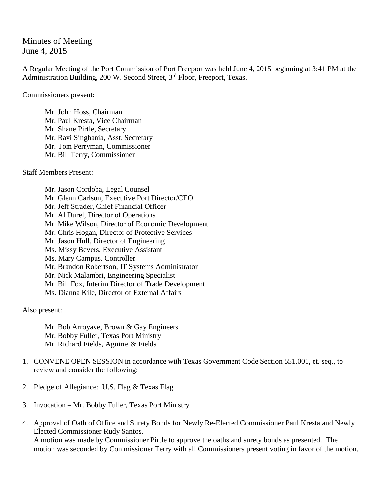Minutes of Meeting June 4, 2015

A Regular Meeting of the Port Commission of Port Freeport was held June 4, 2015 beginning at 3:41 PM at the Administration Building, 200 W. Second Street, 3<sup>rd</sup> Floor, Freeport, Texas.

Commissioners present:

Mr. John Hoss, Chairman Mr. Paul Kresta, Vice Chairman Mr. Shane Pirtle, Secretary Mr. Ravi Singhania, Asst. Secretary Mr. Tom Perryman, Commissioner Mr. Bill Terry, Commissioner

Staff Members Present:

Mr. Jason Cordoba, Legal Counsel Mr. Glenn Carlson, Executive Port Director/CEO Mr. Jeff Strader, Chief Financial Officer Mr. Al Durel, Director of Operations Mr. Mike Wilson, Director of Economic Development Mr. Chris Hogan, Director of Protective Services Mr. Jason Hull, Director of Engineering Ms. Missy Bevers, Executive Assistant Ms. Mary Campus, Controller Mr. Brandon Robertson, IT Systems Administrator Mr. Nick Malambri, Engineering Specialist Mr. Bill Fox, Interim Director of Trade Development Ms. Dianna Kile, Director of External Affairs

Also present:

Mr. Bob Arroyave, Brown & Gay Engineers Mr. Bobby Fuller, Texas Port Ministry Mr. Richard Fields, Aguirre & Fields

- 1. CONVENE OPEN SESSION in accordance with Texas Government Code Section 551.001, et. seq., to review and consider the following:
- 2. Pledge of Allegiance: U.S. Flag & Texas Flag
- 3. Invocation Mr. Bobby Fuller, Texas Port Ministry
- 4. Approval of Oath of Office and Surety Bonds for Newly Re-Elected Commissioner Paul Kresta and Newly Elected Commissioner Rudy Santos. A motion was made by Commissioner Pirtle to approve the oaths and surety bonds as presented. The motion was seconded by Commissioner Terry with all Commissioners present voting in favor of the motion.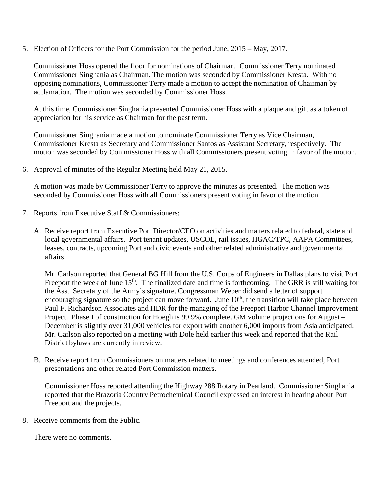5. Election of Officers for the Port Commission for the period June, 2015 – May, 2017.

Commissioner Hoss opened the floor for nominations of Chairman. Commissioner Terry nominated Commissioner Singhania as Chairman. The motion was seconded by Commissioner Kresta. With no opposing nominations, Commissioner Terry made a motion to accept the nomination of Chairman by acclamation. The motion was seconded by Commissioner Hoss.

At this time, Commissioner Singhania presented Commissioner Hoss with a plaque and gift as a token of appreciation for his service as Chairman for the past term.

Commissioner Singhania made a motion to nominate Commissioner Terry as Vice Chairman, Commissioner Kresta as Secretary and Commissioner Santos as Assistant Secretary, respectively. The motion was seconded by Commissioner Hoss with all Commissioners present voting in favor of the motion.

6. Approval of minutes of the Regular Meeting held May 21, 2015.

A motion was made by Commissioner Terry to approve the minutes as presented. The motion was seconded by Commissioner Hoss with all Commissioners present voting in favor of the motion.

- 7. Reports from Executive Staff & Commissioners:
	- A. Receive report from Executive Port Director/CEO on activities and matters related to federal, state and local governmental affairs. Port tenant updates, USCOE, rail issues, HGAC/TPC, AAPA Committees, leases, contracts, upcoming Port and civic events and other related administrative and governmental affairs.

Mr. Carlson reported that General BG Hill from the U.S. Corps of Engineers in Dallas plans to visit Port Freeport the week of June  $15<sup>th</sup>$ . The finalized date and time is forthcoming. The GRR is still waiting for the Asst. Secretary of the Army's signature. Congressman Weber did send a letter of support encouraging signature so the project can move forward. June  $10<sup>th</sup>$ , the transition will take place between Paul F. Richardson Associates and HDR for the managing of the Freeport Harbor Channel Improvement Project. Phase I of construction for Hoegh is 99.9% complete. GM volume projections for August – December is slightly over 31,000 vehicles for export with another 6,000 imports from Asia anticipated. Mr. Carlson also reported on a meeting with Dole held earlier this week and reported that the Rail District bylaws are currently in review.

B. Receive report from Commissioners on matters related to meetings and conferences attended, Port presentations and other related Port Commission matters.

Commissioner Hoss reported attending the Highway 288 Rotary in Pearland. Commissioner Singhania reported that the Brazoria Country Petrochemical Council expressed an interest in hearing about Port Freeport and the projects.

8. Receive comments from the Public.

There were no comments.